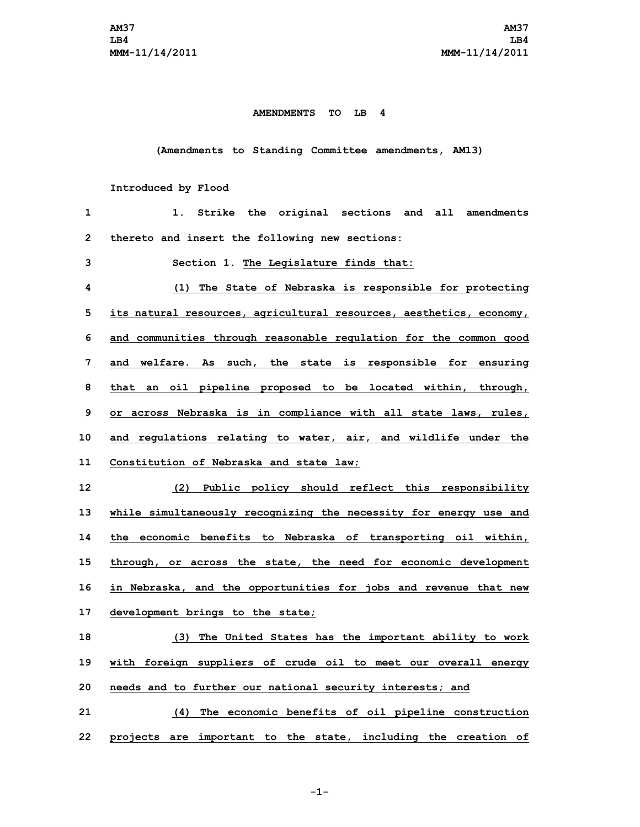## **AMENDMENTS TO LB 4**

**(Amendments to Standing Committee amendments, AM13)**

## **Introduced by Flood**

| 1            | Strike the original sections<br>all<br>1.<br>and<br>amendments      |
|--------------|---------------------------------------------------------------------|
| $\mathbf{2}$ | thereto and insert the following new sections:                      |
| 3            | Section 1. The Legislature finds that:                              |
| 4            | (1) The State of Nebraska is responsible for protecting             |
| 5            | its natural resources, agricultural resources, aesthetics, economy, |
| 6            | and communities through reasonable regulation for the common good   |
| 7            | and welfare. As such, the state is responsible for ensuring         |
| 8            | that an oil pipeline proposed to be located within, through,        |
| 9            | or across Nebraska is in compliance with all state laws, rules,     |
| 10           | and regulations relating to water, air, and wildlife under the      |
| 11           | Constitution of Nebraska and state law;                             |
| 12           | (2) Public policy should reflect this responsibility                |
| 13           | while simultaneously recognizing the necessity for energy use and   |
| 14           | the economic benefits to Nebraska of transporting oil within,       |
| 15           | through, or across the state, the need for economic development     |
| 16           | in Nebraska, and the opportunities for jobs and revenue that new    |
| 17           | development brings to the state;                                    |
| 18           | (3) The United States has the important ability to work             |
| 19           | with foreign suppliers of crude oil to meet our overall energy      |
| 20           | needs and to further our national security interests; and           |
| 21           | (4) The economic benefits of oil pipeline construction              |
| 22           | projects are important to the state, including the creation of      |

**-1-**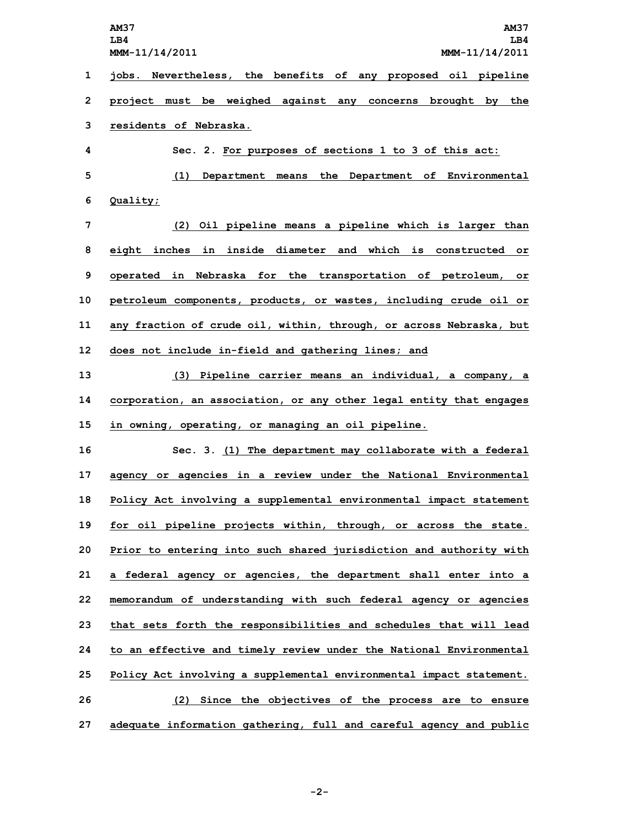|    | <b>AM37</b><br><b>AM37</b><br>LB4<br>LB4<br>MMM-11/14/2011<br>MMM-11/14/2011 |
|----|------------------------------------------------------------------------------|
| 1  | jobs. Nevertheless, the benefits of any proposed oil pipeline                |
| 2  | project must be weighed against any concerns brought by the                  |
| 3  | residents of Nebraska.                                                       |
| 4  | Sec. 2. For purposes of sections 1 to 3 of this act:                         |
| 5  | Department means the Department of Environmental<br>(1)                      |
| 6  | Quality;                                                                     |
| 7  | (2) Oil pipeline means a pipeline which is larger than                       |
| 8  | eight inches in inside diameter and which is constructed or                  |
| 9  | operated in Nebraska for the transportation of petroleum, or                 |
| 10 | petroleum components, products, or wastes, including crude oil or            |
| 11 | any fraction of crude oil, within, through, or across Nebraska, but          |
| 12 | does not include in-field and gathering lines; and                           |
| 13 | (3) Pipeline carrier means an individual, a company, a                       |
| 14 | corporation, an association, or any other legal entity that engages          |
| 15 | in owning, operating, or managing an oil pipeline.                           |
| 16 | Sec. 3. (1) The department may collaborate with a federal                    |
| 17 | agency or agencies in a review under the National Environmental              |
| 18 | Policy Act involving a supplemental environmental impact statement           |
| 19 | for oil pipeline projects within, through, or across the state.              |
| 20 | Prior to entering into such shared jurisdiction and authority with           |
| 21 | a federal agency or agencies, the department shall enter into a              |
| 22 | memorandum of understanding with such federal agency or agencies             |
| 23 | that sets forth the responsibilities and schedules that will lead            |
| 24 | to an effective and timely review under the National Environmental           |
| 25 | Policy Act involving a supplemental environmental impact statement.          |
| 26 | (2) Since the objectives of the process are to ensure                        |
| 27 | adequate information gathering, full and careful agency and public           |

**-2-**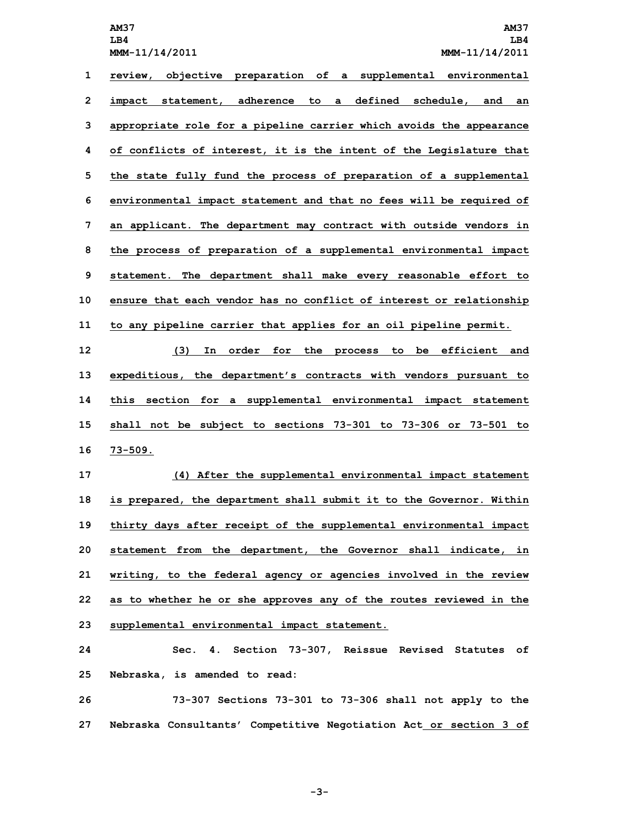**LB4 LB4 MMM-11/14/2011 MMM-11/14/2011**

 **review, objective preparation of <sup>a</sup> supplemental environmental impact statement, adherence to <sup>a</sup> defined schedule, and an appropriate role for <sup>a</sup> pipeline carrier which avoids the appearance of conflicts of interest, it is the intent of the Legislature that the state fully fund the process of preparation of <sup>a</sup> supplemental environmental impact statement and that no fees will be required of an applicant. The department may contract with outside vendors in the process of preparation of <sup>a</sup> supplemental environmental impact statement. The department shall make every reasonable effort to ensure that each vendor has no conflict of interest or relationship to any pipeline carrier that applies for an oil pipeline permit.**

 **(3) In order for the process to be efficient and expeditious, the department's contracts with vendors pursuant to this section for <sup>a</sup> supplemental environmental impact statement shall not be subject to sections 73-301 to 73-306 or 73-501 to 16 73-509.**

 **(4) After the supplemental environmental impact statement is prepared, the department shall submit it to the Governor. Within thirty days after receipt of the supplemental environmental impact statement from the department, the Governor shall indicate, in writing, to the federal agency or agencies involved in the review as to whether he or she approves any of the routes reviewed in the supplemental environmental impact statement.**

**24 Sec. 4. Section 73-307, Reissue Revised Statutes of 25 Nebraska, is amended to read:**

**26 73-307 Sections 73-301 to 73-306 shall not apply to the 27 Nebraska Consultants' Competitive Negotiation Act or section 3 of**

**-3-**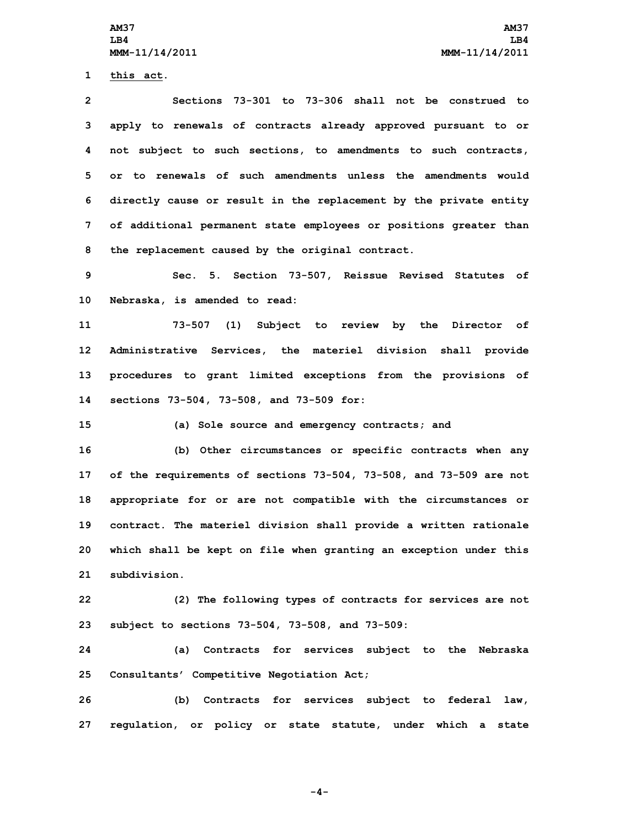**1 this act.**

 **Sections 73-301 to 73-306 shall not be construed to apply to renewals of contracts already approved pursuant to or not subject to such sections, to amendments to such contracts, or to renewals of such amendments unless the amendments would directly cause or result in the replacement by the private entity of additional permanent state employees or positions greater than the replacement caused by the original contract.**

**9 Sec. 5. Section 73-507, Reissue Revised Statutes of 10 Nebraska, is amended to read:**

 **73-507 (1) Subject to review by the Director of Administrative Services, the materiel division shall provide procedures to grant limited exceptions from the provisions of sections 73-504, 73-508, and 73-509 for:**

**15 (a) Sole source and emergency contracts; and**

 **(b) Other circumstances or specific contracts when any of the requirements of sections 73-504, 73-508, and 73-509 are not appropriate for or are not compatible with the circumstances or contract. The materiel division shall provide <sup>a</sup> written rationale which shall be kept on file when granting an exception under this subdivision.**

**22 (2) The following types of contracts for services are not 23 subject to sections 73-504, 73-508, and 73-509:**

**24 (a) Contracts for services subject to the Nebraska 25 Consultants' Competitive Negotiation Act;**

**26 (b) Contracts for services subject to federal law, 27 regulation, or policy or state statute, under which <sup>a</sup> state**

**-4-**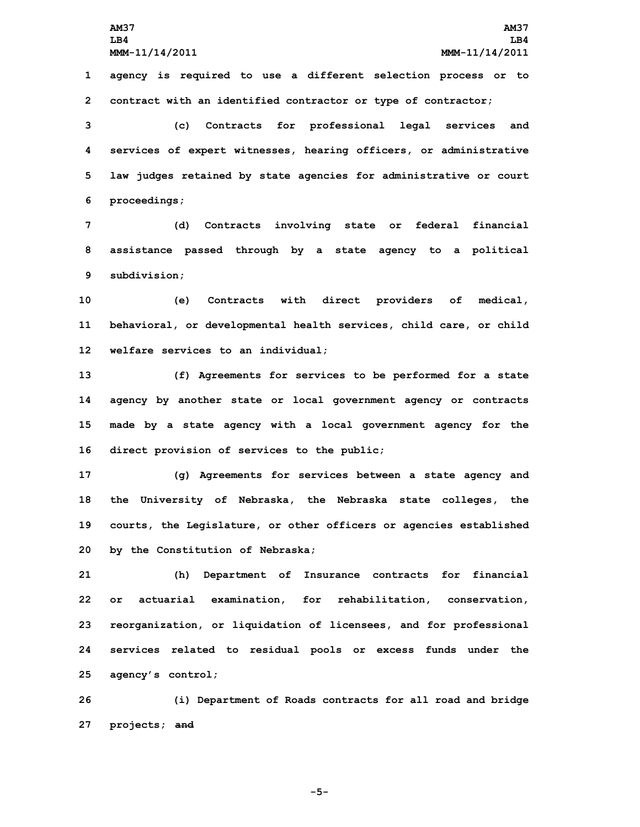**AM37 AM37 LB4 LB4 MMM-11/14/2011 MMM-11/14/2011 1 agency is required to use <sup>a</sup> different selection process or to 2 contract with an identified contractor or type of contractor;**

 **(c) Contracts for professional legal services and services of expert witnesses, hearing officers, or administrative law judges retained by state agencies for administrative or court proceedings;**

**7 (d) Contracts involving state or federal financial 8 assistance passed through by <sup>a</sup> state agency to <sup>a</sup> political 9 subdivision;**

**10 (e) Contracts with direct providers of medical, 11 behavioral, or developmental health services, child care, or child 12 welfare services to an individual;**

 **(f) Agreements for services to be performed for <sup>a</sup> state agency by another state or local government agency or contracts made by <sup>a</sup> state agency with <sup>a</sup> local government agency for the direct provision of services to the public;**

 **(g) Agreements for services between <sup>a</sup> state agency and the University of Nebraska, the Nebraska state colleges, the courts, the Legislature, or other officers or agencies established by the Constitution of Nebraska;**

 **(h) Department of Insurance contracts for financial or actuarial examination, for rehabilitation, conservation, reorganization, or liquidation of licensees, and for professional services related to residual pools or excess funds under the agency's control;**

**26 (i) Department of Roads contracts for all road and bridge 27 projects; and**

**-5-**